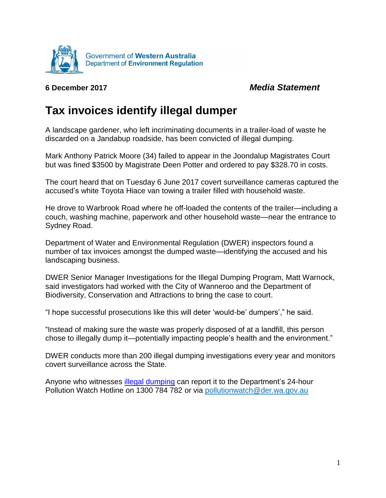

## **6 December 2017** *Media Statement*

## **Tax invoices identify illegal dumper**

A landscape gardener, who left incriminating documents in a trailer-load of waste he discarded on a Jandabup roadside, has been convicted of illegal dumping.

Mark Anthony Patrick Moore (34) failed to appear in the Joondalup Magistrates Court but was fined \$3500 by Magistrate Deen Potter and ordered to pay \$328.70 in costs.

The court heard that on Tuesday 6 June 2017 covert surveillance cameras captured the accused's white Toyota Hiace van towing a trailer filled with household waste.

He drove to Warbrook Road where he off-loaded the contents of the trailer—including a couch, washing machine, paperwork and other household waste—near the entrance to Sydney Road.

Department of Water and Environmental Regulation (DWER) inspectors found a number of tax invoices amongst the dumped waste—identifying the accused and his landscaping business.

DWER Senior Manager Investigations for the Illegal Dumping Program, Matt Warnock, said investigators had worked with the City of Wanneroo and the Department of Biodiversity, Conservation and Attractions to bring the case to court.

"I hope successful prosecutions like this will deter 'would-be' dumpers'," he said.

"Instead of making sure the waste was properly disposed of at a landfill, this person chose to illegally dump it—potentially impacting people's health and the environment."

DWER conducts more than 200 illegal dumping investigations every year and monitors covert surveillance across the State.

Anyone who witnesses [illegal dumping](http://www.der.wa.gov.au/your-environment/illegal-dumping) can report it to the Department's 24-hour Pollution Watch Hotline on 1300 784 782 or via [pollutionwatch@der.wa.gov.au](mailto:pollutionwatch@der.wa.gov.au)